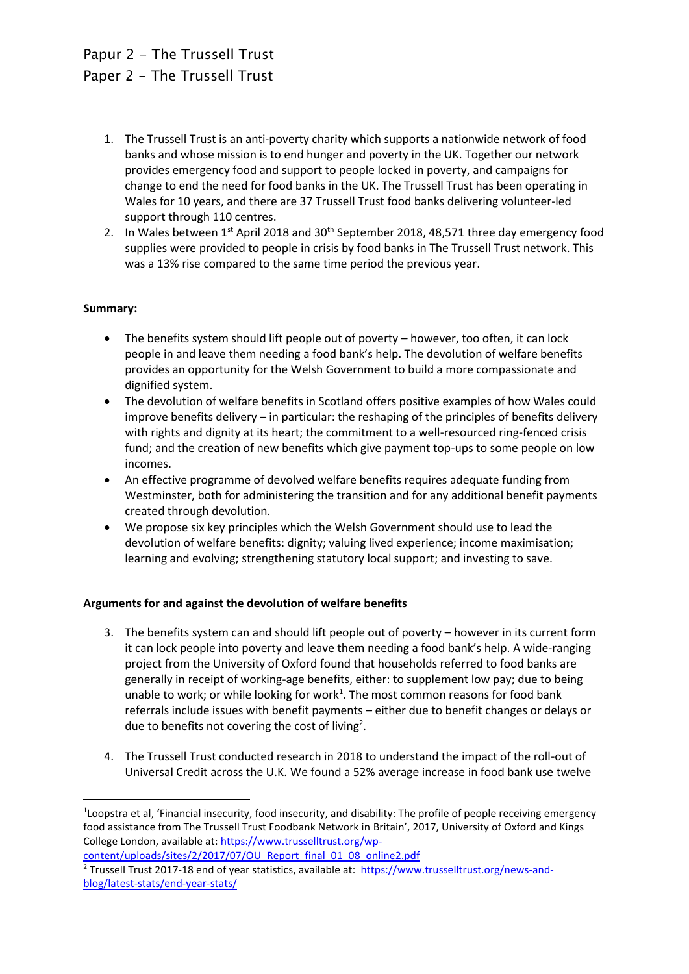# Papur 2 - The Trussell Trust Paper 2 - The Trussell Trust

- 1. The Trussell Trust is an anti-poverty charity which supports a nationwide network of food banks and whose mission is to end hunger and poverty in the UK. Together our network provides emergency food and support to people locked in poverty, and campaigns for change to end the need for food banks in the UK. The Trussell Trust has been operating in Wales for 10 years, and there are 37 Trussell Trust food banks delivering volunteer-led support through 110 centres.
- 2. In Wales between  $1^{st}$  April 2018 and  $30^{th}$  September 2018, 48,571 three day emergency food supplies were provided to people in crisis by food banks in The Trussell Trust network. This was a 13% rise compared to the same time period the previous year.

## **Summary:**

**.** 

- The benefits system should lift people out of poverty however, too often, it can lock people in and leave them needing a food bank's help. The devolution of welfare benefits provides an opportunity for the Welsh Government to build a more compassionate and dignified system.
- The devolution of welfare benefits in Scotland offers positive examples of how Wales could improve benefits delivery – in particular: the reshaping of the principles of benefits delivery with rights and dignity at its heart; the commitment to a well-resourced ring-fenced crisis fund; and the creation of new benefits which give payment top-ups to some people on low incomes.
- An effective programme of devolved welfare benefits requires adequate funding from Westminster, both for administering the transition and for any additional benefit payments created through devolution.
- We propose six key principles which the Welsh Government should use to lead the devolution of welfare benefits: dignity; valuing lived experience; income maximisation; learning and evolving; strengthening statutory local support; and investing to save.

## **Arguments for and against the devolution of welfare benefits**

- 3. The benefits system can and should lift people out of poverty however in its current form it can lock people into poverty and leave them needing a food bank's help. A wide-ranging project from the University of Oxford found that households referred to food banks are generally in receipt of working-age benefits, either: to supplement low pay; due to being unable to work; or while looking for work<sup>1</sup>. The most common reasons for food bank referrals include issues with benefit payments – either due to benefit changes or delays or due to benefits not covering the cost of living<sup>2</sup>.
- 4. The Trussell Trust conducted research in 2018 to understand the impact of the roll-out of Universal Credit across the U.K. We found a 52% average increase in food bank use twelve

<sup>&</sup>lt;sup>1</sup>Loopstra et al, 'Financial insecurity, food insecurity, and disability: The profile of people receiving emergency food assistance from The Trussell Trust Foodbank Network in Britain', 2017, University of Oxford and Kings College London, available at[: https://www.trusselltrust.org/wp-](https://www.trusselltrust.org/wp-content/uploads/sites/2/2017/07/OU_Report_final_01_08_online2.pdf)

[content/uploads/sites/2/2017/07/OU\\_Report\\_final\\_01\\_08\\_online2.pdf](https://www.trusselltrust.org/wp-content/uploads/sites/2/2017/07/OU_Report_final_01_08_online2.pdf) <sup>2</sup> Trussell Trust 2017-18 end of year statistics, available at: [https://www.trusselltrust.org/news-and](https://www.trusselltrust.org/news-and-blog/latest-stats/end-year-stats/)[blog/latest-stats/end-year-stats/](https://www.trusselltrust.org/news-and-blog/latest-stats/end-year-stats/)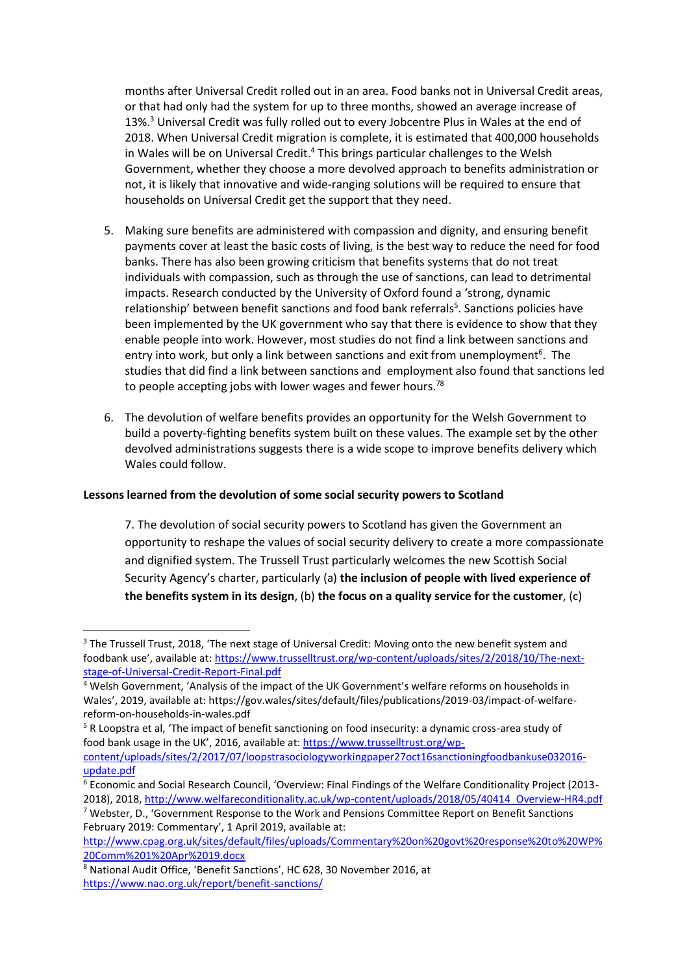months after Universal Credit rolled out in an area. Food banks not in Universal Credit areas, or that had only had the system for up to three months, showed an average increase of 13%.<sup>3</sup> Universal Credit was fully rolled out to every Jobcentre Plus in Wales at the end of 2018. When Universal Credit migration is complete, it is estimated that 400,000 households in Wales will be on Universal Credit.<sup>4</sup> This brings particular challenges to the Welsh Government, whether they choose a more devolved approach to benefits administration or not, it is likely that innovative and wide-ranging solutions will be required to ensure that households on Universal Credit get the support that they need.

- 5. Making sure benefits are administered with compassion and dignity, and ensuring benefit payments cover at least the basic costs of living, is the best way to reduce the need for food banks. There has also been growing criticism that benefits systems that do not treat individuals with compassion, such as through the use of sanctions, can lead to detrimental impacts. Research conducted by the University of Oxford found a 'strong, dynamic relationship' between benefit sanctions and food bank referrals<sup>5</sup>. Sanctions policies have been implemented by the UK government who say that there is evidence to show that they enable people into work. However, most studies do not find a link between sanctions and entry into work, but only a link between sanctions and exit from unemployment<sup>6</sup>. The studies that did find a link between sanctions and employment also found that sanctions led to people accepting jobs with lower wages and fewer hours.<sup>78</sup>
- 6. The devolution of welfare benefits provides an opportunity for the Welsh Government to build a poverty-fighting benefits system built on these values. The example set by the other devolved administrations suggests there is a wide scope to improve benefits delivery which Wales could follow.

#### **Lessons learned from the devolution of some social security powers to Scotland**

7. The devolution of social security powers to Scotland has given the Government an opportunity to reshape the values of social security delivery to create a more compassionate and dignified system. The Trussell Trust particularly welcomes the new Scottish Social Security Agency's charter, particularly (a) **the inclusion of people with lived experience of the benefits system in its design**, (b) **the focus on a quality service for the customer**, (c)

1

<sup>&</sup>lt;sup>3</sup> The Trussell Trust, 2018, 'The next stage of Universal Credit: Moving onto the new benefit system and foodbank use', available at: [https://www.trusselltrust.org/wp-content/uploads/sites/2/2018/10/The-next](https://www.trusselltrust.org/wp-content/uploads/sites/2/2018/10/The-next-stage-of-Universal-Credit-Report-Final.pdf)[stage-of-Universal-Credit-Report-Final.pdf](https://www.trusselltrust.org/wp-content/uploads/sites/2/2018/10/The-next-stage-of-Universal-Credit-Report-Final.pdf)

<sup>4</sup> Welsh Government, 'Analysis of the impact of the UK Government's welfare reforms on households in Wales', 2019, available at: https://gov.wales/sites/default/files/publications/2019-03/impact-of-welfarereform-on-households-in-wales.pdf

<sup>&</sup>lt;sup>5</sup> R Loopstra et al, 'The impact of benefit sanctioning on food insecurity: a dynamic cross-area study of food bank usage in the UK', 2016, available at: [https://www.trusselltrust.org/wp-](https://www.trusselltrust.org/wp-content/uploads/sites/2/2017/07/loopstrasociologyworkingpaper27oct16sanctioningfoodbankuse032016-update.pdf)

[content/uploads/sites/2/2017/07/loopstrasociologyworkingpaper27oct16sanctioningfoodbankuse032016](https://www.trusselltrust.org/wp-content/uploads/sites/2/2017/07/loopstrasociologyworkingpaper27oct16sanctioningfoodbankuse032016-update.pdf) [update.pdf](https://www.trusselltrust.org/wp-content/uploads/sites/2/2017/07/loopstrasociologyworkingpaper27oct16sanctioningfoodbankuse032016-update.pdf)

<sup>6</sup> Economic and Social Research Council, 'Overview: Final Findings of the Welfare Conditionality Project (2013- 2018), 2018, [http://www.welfareconditionality.ac.uk/wp-content/uploads/2018/05/40414\\_Overview-HR4.pdf](http://www.welfareconditionality.ac.uk/wp-content/uploads/2018/05/40414_Overview-HR4.pdf)

<sup>7</sup> Webster, D., 'Government Response to the Work and Pensions Committee Report on Benefit Sanctions February 2019: Commentary', 1 April 2019, available at:

[http://www.cpag.org.uk/sites/default/files/uploads/Commentary%20on%20govt%20response%20to%20WP%](http://www.cpag.org.uk/sites/default/files/uploads/Commentary%20on%20govt%20response%20to%20WP%20Comm%201%20Apr%2019.docx) [20Comm%201%20Apr%2019.docx](http://www.cpag.org.uk/sites/default/files/uploads/Commentary%20on%20govt%20response%20to%20WP%20Comm%201%20Apr%2019.docx)

<sup>8</sup> National Audit Office, 'Benefit Sanctions', HC 628, 30 November 2016, at <https://www.nao.org.uk/report/benefit-sanctions/>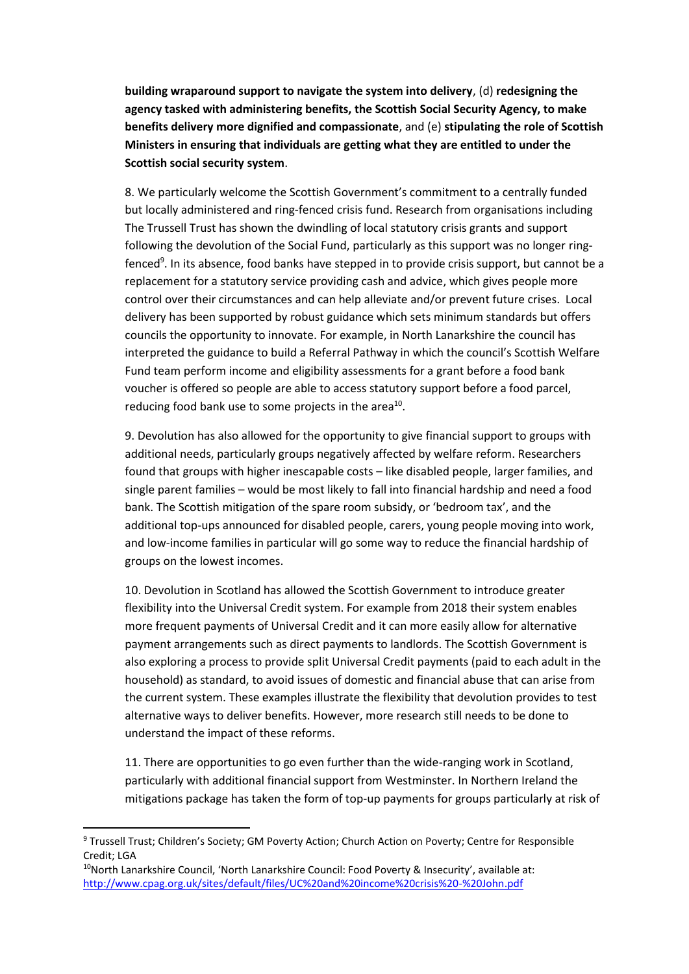**building wraparound support to navigate the system into delivery**, (d) **redesigning the agency tasked with administering benefits, the Scottish Social Security Agency, to make benefits delivery more dignified and compassionate**, and (e) **stipulating the role of Scottish Ministers in ensuring that individuals are getting what they are entitled to under the Scottish social security system**.

8. We particularly welcome the Scottish Government's commitment to a centrally funded but locally administered and ring-fenced crisis fund. Research from organisations including The Trussell Trust has shown the dwindling of local statutory crisis grants and support following the devolution of the Social Fund, particularly as this support was no longer ringfenced<sup>9</sup>. In its absence, food banks have stepped in to provide crisis support, but cannot be a replacement for a statutory service providing cash and advice, which gives people more control over their circumstances and can help alleviate and/or prevent future crises. Local delivery has been supported by robust guidance which sets minimum standards but offers councils the opportunity to innovate. For example, in North Lanarkshire the council has interpreted the guidance to build a Referral Pathway in which the council's Scottish Welfare Fund team perform income and eligibility assessments for a grant before a food bank voucher is offered so people are able to access statutory support before a food parcel, reducing food bank use to some projects in the area<sup>10</sup>.

9. Devolution has also allowed for the opportunity to give financial support to groups with additional needs, particularly groups negatively affected by welfare reform. Researchers found that groups with higher inescapable costs – like disabled people, larger families, and single parent families – would be most likely to fall into financial hardship and need a food bank. The Scottish mitigation of the spare room subsidy, or 'bedroom tax', and the additional top-ups announced for disabled people, carers, young people moving into work, and low-income families in particular will go some way to reduce the financial hardship of groups on the lowest incomes.

10. Devolution in Scotland has allowed the Scottish Government to introduce greater flexibility into the Universal Credit system. For example from 2018 their system enables more frequent payments of Universal Credit and it can more easily allow for alternative payment arrangements such as direct payments to landlords. The Scottish Government is also exploring a process to provide split Universal Credit payments (paid to each adult in the household) as standard, to avoid issues of domestic and financial abuse that can arise from the current system. These examples illustrate the flexibility that devolution provides to test alternative ways to deliver benefits. However, more research still needs to be done to understand the impact of these reforms.

11. There are opportunities to go even further than the wide-ranging work in Scotland, particularly with additional financial support from Westminster. In Northern Ireland the mitigations package has taken the form of top-up payments for groups particularly at risk of

**.** 

<sup>9</sup> Trussell Trust; Children's Society; GM Poverty Action; Church Action on Poverty; Centre for Responsible Credit; LGA

<sup>&</sup>lt;sup>10</sup>North Lanarkshire Council, 'North Lanarkshire Council: Food Poverty & Insecurity', available at: <http://www.cpag.org.uk/sites/default/files/UC%20and%20income%20crisis%20-%20John.pdf>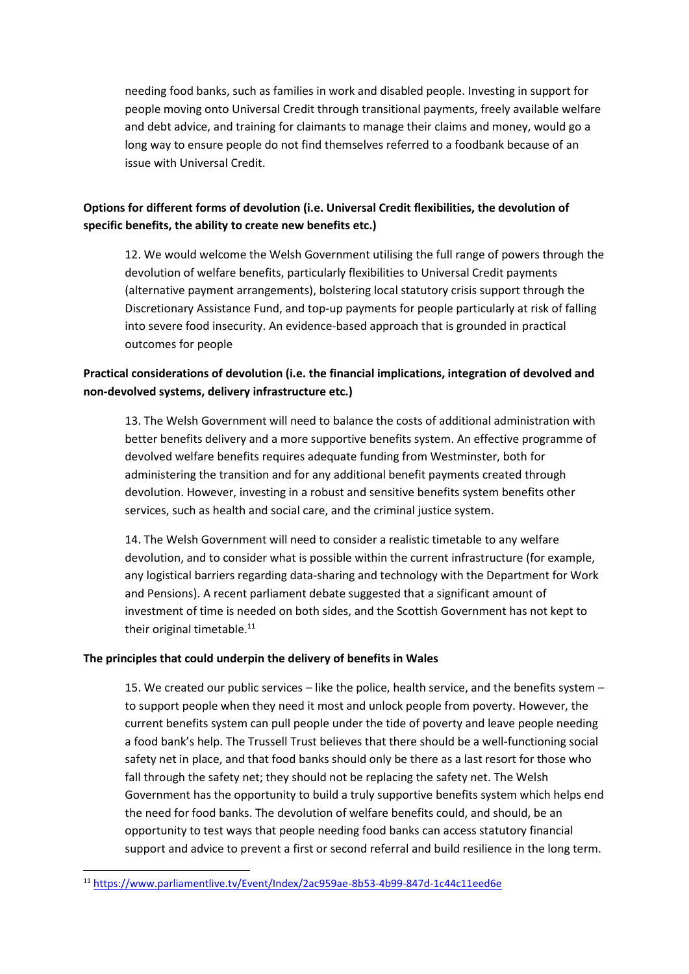needing food banks, such as families in work and disabled people. Investing in support for people moving onto Universal Credit through transitional payments, freely available welfare and debt advice, and training for claimants to manage their claims and money, would go a long way to ensure people do not find themselves referred to a foodbank because of an issue with Universal Credit.

# **Options for different forms of devolution (i.e. Universal Credit flexibilities, the devolution of specific benefits, the ability to create new benefits etc.)**

12. We would welcome the Welsh Government utilising the full range of powers through the devolution of welfare benefits, particularly flexibilities to Universal Credit payments (alternative payment arrangements), bolstering local statutory crisis support through the Discretionary Assistance Fund, and top-up payments for people particularly at risk of falling into severe food insecurity. An evidence-based approach that is grounded in practical outcomes for people

# **Practical considerations of devolution (i.e. the financial implications, integration of devolved and non-devolved systems, delivery infrastructure etc.)**

13. The Welsh Government will need to balance the costs of additional administration with better benefits delivery and a more supportive benefits system. An effective programme of devolved welfare benefits requires adequate funding from Westminster, both for administering the transition and for any additional benefit payments created through devolution. However, investing in a robust and sensitive benefits system benefits other services, such as health and social care, and the criminal justice system.

14. The Welsh Government will need to consider a realistic timetable to any welfare devolution, and to consider what is possible within the current infrastructure (for example, any logistical barriers regarding data-sharing and technology with the Department for Work and Pensions). A recent parliament debate suggested that a significant amount of investment of time is needed on both sides, and the Scottish Government has not kept to their original timetable.<sup>11</sup>

#### **The principles that could underpin the delivery of benefits in Wales**

15. We created our public services – like the police, health service, and the benefits system – to support people when they need it most and unlock people from poverty. However, the current benefits system can pull people under the tide of poverty and leave people needing a food bank's help. The Trussell Trust believes that there should be a well-functioning social safety net in place, and that food banks should only be there as a last resort for those who fall through the safety net; they should not be replacing the safety net. The Welsh Government has the opportunity to build a truly supportive benefits system which helps end the need for food banks. The devolution of welfare benefits could, and should, be an opportunity to test ways that people needing food banks can access statutory financial support and advice to prevent a first or second referral and build resilience in the long term.

**.** 

<sup>11</sup> <https://www.parliamentlive.tv/Event/Index/2ac959ae-8b53-4b99-847d-1c44c11eed6e>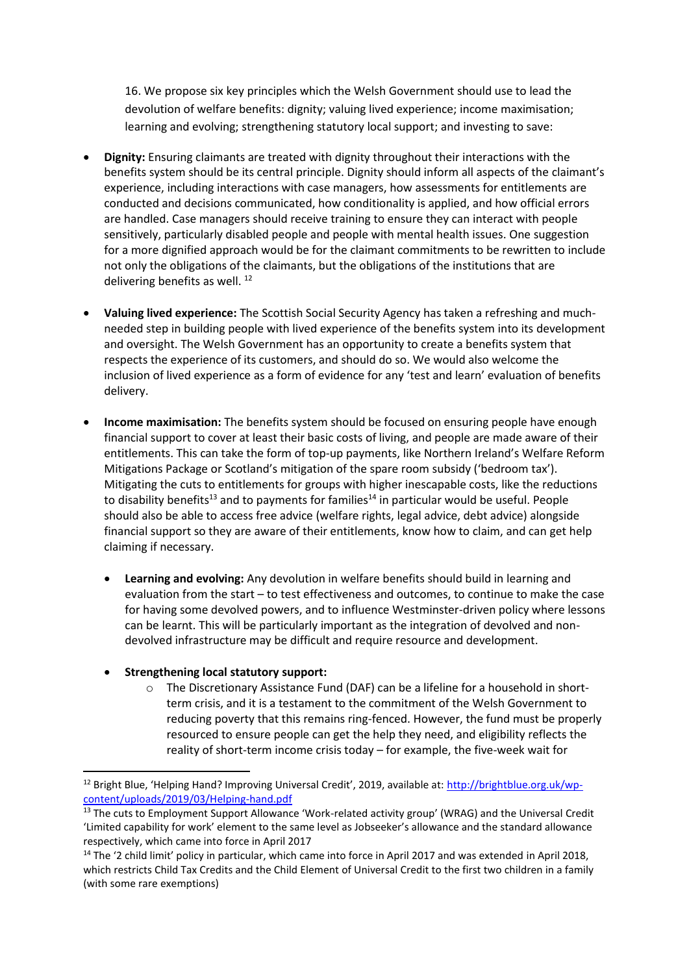16. We propose six key principles which the Welsh Government should use to lead the devolution of welfare benefits: dignity; valuing lived experience; income maximisation; learning and evolving; strengthening statutory local support; and investing to save:

- **Dignity:** Ensuring claimants are treated with dignity throughout their interactions with the benefits system should be its central principle. Dignity should inform all aspects of the claimant's experience, including interactions with case managers, how assessments for entitlements are conducted and decisions communicated, how conditionality is applied, and how official errors are handled. Case managers should receive training to ensure they can interact with people sensitively, particularly disabled people and people with mental health issues. One suggestion for a more dignified approach would be for the claimant commitments to be rewritten to include not only the obligations of the claimants, but the obligations of the institutions that are delivering benefits as well.<sup>12</sup>
- **Valuing lived experience:** The Scottish Social Security Agency has taken a refreshing and muchneeded step in building people with lived experience of the benefits system into its development and oversight. The Welsh Government has an opportunity to create a benefits system that respects the experience of its customers, and should do so. We would also welcome the inclusion of lived experience as a form of evidence for any 'test and learn' evaluation of benefits delivery.
- **Income maximisation:** The benefits system should be focused on ensuring people have enough financial support to cover at least their basic costs of living, and people are made aware of their entitlements. This can take the form of top-up payments, like Northern Ireland's Welfare Reform Mitigations Package or Scotland's mitigation of the spare room subsidy ('bedroom tax'). Mitigating the cuts to entitlements for groups with higher inescapable costs, like the reductions to disability benefits<sup>13</sup> and to payments for families<sup>14</sup> in particular would be useful. People should also be able to access free advice (welfare rights, legal advice, debt advice) alongside financial support so they are aware of their entitlements, know how to claim, and can get help claiming if necessary.
	- **Learning and evolving:** Any devolution in welfare benefits should build in learning and evaluation from the start – to test effectiveness and outcomes, to continue to make the case for having some devolved powers, and to influence Westminster-driven policy where lessons can be learnt. This will be particularly important as the integration of devolved and nondevolved infrastructure may be difficult and require resource and development.

## **Strengthening local statutory support:**

**.** 

o The Discretionary Assistance Fund (DAF) can be a lifeline for a household in shortterm crisis, and it is a testament to the commitment of the Welsh Government to reducing poverty that this remains ring-fenced. However, the fund must be properly resourced to ensure people can get the help they need, and eligibility reflects the reality of short-term income crisis today – for example, the five-week wait for

<sup>12</sup> Bright Blue, 'Helping Hand? Improving Universal Credit', 2019, available at: [http://brightblue.org.uk/wp](http://brightblue.org.uk/wp-content/uploads/2019/03/Helping-hand.pdf)[content/uploads/2019/03/Helping-hand.pdf](http://brightblue.org.uk/wp-content/uploads/2019/03/Helping-hand.pdf)

<sup>&</sup>lt;sup>13</sup> The cuts to Employment Support Allowance 'Work-related activity group' (WRAG) and the Universal Credit 'Limited capability for work' element to the same level as Jobseeker's allowance and the standard allowance respectively, which came into force in April 2017

<sup>&</sup>lt;sup>14</sup> The '2 child limit' policy in particular, which came into force in April 2017 and was extended in April 2018, which restricts Child Tax Credits and the Child Element of Universal Credit to the first two children in a family (with some rare exemptions)